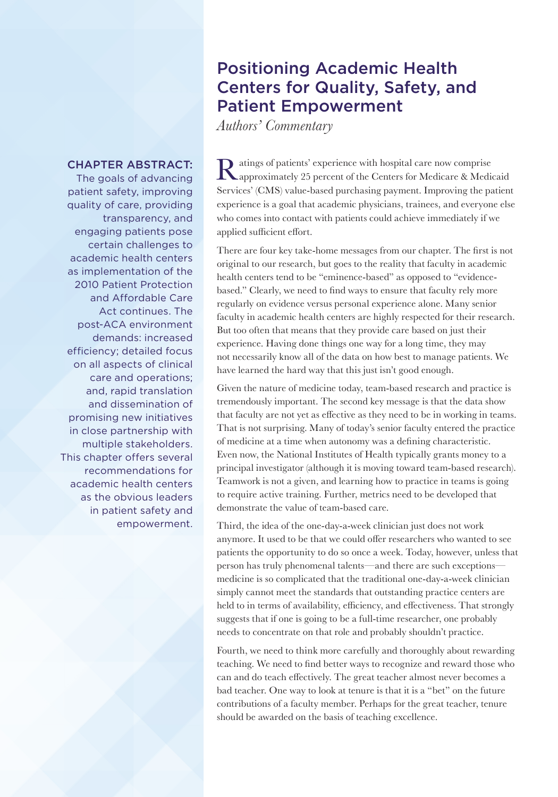## Positioning Academic Health Centers for Quality, Safety, and Patient Empowerment

*Authors' Commentary*

## CHAPTER ABSTRACT:

The goals of advancing patient safety, improving quality of care, providing transparency, and engaging patients pose certain challenges to academic health centers as implementation of the 2010 Patient Protection and Affordable Care Act continues. The post-ACA environment demands: increased efficiency; detailed focus on all aspects of clinical care and operations; and, rapid translation and dissemination of promising new initiatives in close partnership with multiple stakeholders. This chapter offers several recommendations for academic health centers as the obvious leaders in patient safety and empowerment.

Ratings of patients' experience with hospital care now comprise<br>approximately 25 percent of the Centers for Medicare & Medicaid Services' (CMS) value-based purchasing payment. Improving the patient experience is a goal that academic physicians, trainees, and everyone else who comes into contact with patients could achieve immediately if we applied sufficient effort.

There are four key take-home messages from our chapter. The first is not original to our research, but goes to the reality that faculty in academic health centers tend to be "eminence-based" as opposed to "evidencebased." Clearly, we need to find ways to ensure that faculty rely more regularly on evidence versus personal experience alone. Many senior faculty in academic health centers are highly respected for their research. But too often that means that they provide care based on just their experience. Having done things one way for a long time, they may not necessarily know all of the data on how best to manage patients. We have learned the hard way that this just isn't good enough.

Given the nature of medicine today, team-based research and practice is tremendously important. The second key message is that the data show that faculty are not yet as effective as they need to be in working in teams. That is not surprising. Many of today's senior faculty entered the practice of medicine at a time when autonomy was a defining characteristic. Even now, the National Institutes of Health typically grants money to a principal investigator (although it is moving toward team-based research). Teamwork is not a given, and learning how to practice in teams is going to require active training. Further, metrics need to be developed that demonstrate the value of team-based care.

Third, the idea of the one-day-a-week clinician just does not work anymore. It used to be that we could offer researchers who wanted to see patients the opportunity to do so once a week. Today, however, unless that person has truly phenomenal talents—and there are such exceptions medicine is so complicated that the traditional one-day-a-week clinician simply cannot meet the standards that outstanding practice centers are held to in terms of availability, efficiency, and effectiveness. That strongly suggests that if one is going to be a full-time researcher, one probably needs to concentrate on that role and probably shouldn't practice.

Fourth, we need to think more carefully and thoroughly about rewarding teaching. We need to find better ways to recognize and reward those who can and do teach effectively. The great teacher almost never becomes a bad teacher. One way to look at tenure is that it is a "bet" on the future contributions of a faculty member. Perhaps for the great teacher, tenure should be awarded on the basis of teaching excellence.